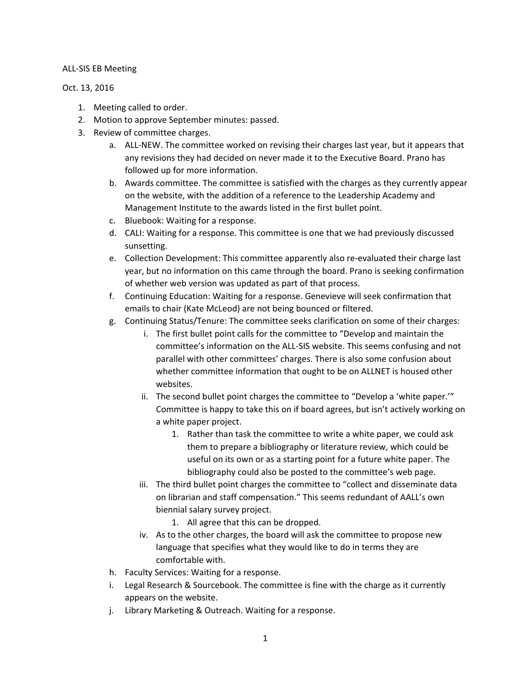## ALL-SIS EB Meeting

## Oct. 13, 2016

- 1. Meeting called to order.
- 2. Motion to approve September minutes: passed.
- 3. Review of committee charges.
	- a. ALL-NEW. The committee worked on revising their charges last year, but it appears that any revisions they had decided on never made it to the Executive Board. Prano has followed up for more information.
	- b. Awards committee. The committee is satisfied with the charges as they currently appear on the website, with the addition of a reference to the Leadership Academy and Management Institute to the awards listed in the first bullet point.
	- c. Bluebook: Waiting for a response.
	- d. CALI: Waiting for a response. This committee is one that we had previously discussed sunsetting.
	- e. Collection Development: This committee apparently also re-evaluated their charge last year, but no information on this came through the board. Prano is seeking confirmation of whether web version was updated as part of that process.
	- f. Continuing Education: Waiting for a response. Genevieve will seek confirmation that emails to chair (Kate McLeod) are not being bounced or filtered.
	- g. Continuing Status/Tenure: The committee seeks clarification on some of their charges:
		- i. The first bullet point calls for the committee to "Develop and maintain the committee's information on the ALL-SIS website. This seems confusing and not parallel with other committees' charges. There is also some confusion about whether committee information that ought to be on ALLNET is housed other websites.
		- ii. The second bullet point charges the committee to "Develop a 'white paper.'" Committee is happy to take this on if board agrees, but isn't actively working on a white paper project.
			- 1. Rather than task the committee to write a white paper, we could ask them to prepare a bibliography or literature review, which could be useful on its own or as a starting point for a future white paper. The bibliography could also be posted to the committee's web page.
		- iii. The third bullet point charges the committee to "collect and disseminate data on librarian and staff compensation." This seems redundant of AALL's own biennial salary survey project.
			- 1. All agree that this can be dropped.
		- iv. As to the other charges, the board will ask the committee to propose new language that specifies what they would like to do in terms they are comfortable with.
	- h. Faculty Services: Waiting for a response.
	- i. Legal Research & Sourcebook. The committee is fine with the charge as it currently appears on the website.
	- j. Library Marketing & Outreach. Waiting for a response.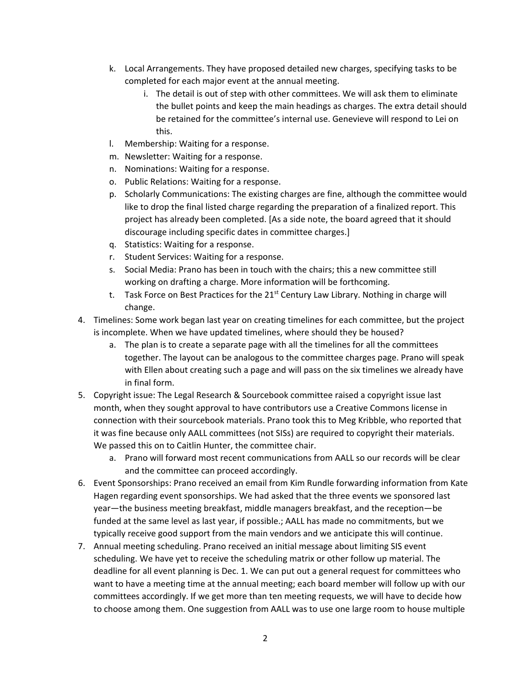- k. Local Arrangements. They have proposed detailed new charges, specifying tasks to be completed for each major event at the annual meeting.
	- i. The detail is out of step with other committees. We will ask them to eliminate the bullet points and keep the main headings as charges. The extra detail should be retained for the committee's internal use. Genevieve will respond to Lei on this.
- l. Membership: Waiting for a response.
- m. Newsletter: Waiting for a response.
- n. Nominations: Waiting for a response.
- o. Public Relations: Waiting for a response.
- p. Scholarly Communications: The existing charges are fine, although the committee would like to drop the final listed charge regarding the preparation of a finalized report. This project has already been completed. [As a side note, the board agreed that it should discourage including specific dates in committee charges.]
- q. Statistics: Waiting for a response.
- r. Student Services: Waiting for a response.
- s. Social Media: Prano has been in touch with the chairs; this a new committee still working on drafting a charge. More information will be forthcoming.
- t. Task Force on Best Practices for the  $21<sup>st</sup>$  Century Law Library. Nothing in charge will change.
- 4. Timelines: Some work began last year on creating timelines for each committee, but the project is incomplete. When we have updated timelines, where should they be housed?
	- a. The plan is to create a separate page with all the timelines for all the committees together. The layout can be analogous to the committee charges page. Prano will speak with Ellen about creating such a page and will pass on the six timelines we already have in final form.
- 5. Copyright issue: The Legal Research & Sourcebook committee raised a copyright issue last month, when they sought approval to have contributors use a Creative Commons license in connection with their sourcebook materials. Prano took this to Meg Kribble, who reported that it was fine because only AALL committees (not SISs) are required to copyright their materials. We passed this on to Caitlin Hunter, the committee chair.
	- a. Prano will forward most recent communications from AALL so our records will be clear and the committee can proceed accordingly.
- 6. Event Sponsorships: Prano received an email from Kim Rundle forwarding information from Kate Hagen regarding event sponsorships. We had asked that the three events we sponsored last year—the business meeting breakfast, middle managers breakfast, and the reception—be funded at the same level as last year, if possible.; AALL has made no commitments, but we typically receive good support from the main vendors and we anticipate this will continue.
- 7. Annual meeting scheduling. Prano received an initial message about limiting SIS event scheduling. We have yet to receive the scheduling matrix or other follow up material. The deadline for all event planning is Dec. 1. We can put out a general request for committees who want to have a meeting time at the annual meeting; each board member will follow up with our committees accordingly. If we get more than ten meeting requests, we will have to decide how to choose among them. One suggestion from AALL was to use one large room to house multiple